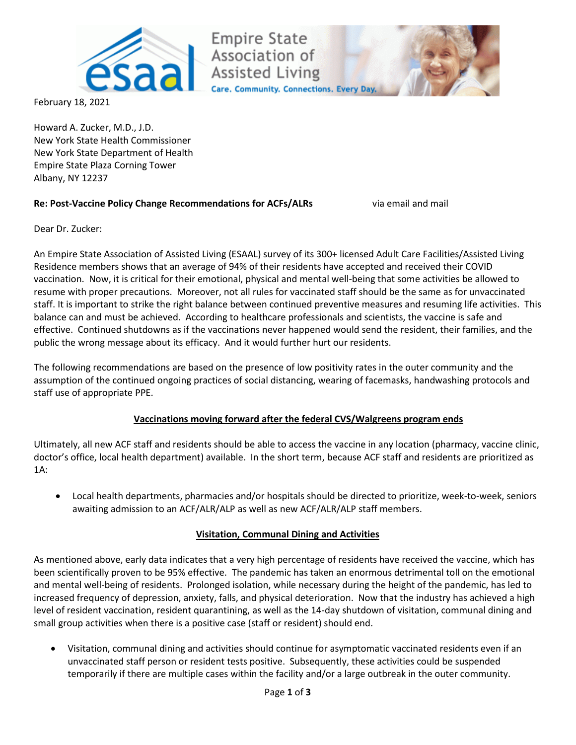

February 18, 2021

Howard A. Zucker, M.D., J.D. New York State Health Commissioner New York State Department of Health Empire State Plaza Corning Tower Albany, NY 12237

### **Re: Post-Vaccine Policy Change Recommendations for ACFs/ALRs** via email and mail

Dear Dr. Zucker:

An Empire State Association of Assisted Living (ESAAL) survey of its 300+ licensed Adult Care Facilities/Assisted Living Residence members shows that an average of 94% of their residents have accepted and received their COVID vaccination. Now, it is critical for their emotional, physical and mental well-being that some activities be allowed to resume with proper precautions. Moreover, not all rules for vaccinated staff should be the same as for unvaccinated staff. It is important to strike the right balance between continued preventive measures and resuming life activities. This balance can and must be achieved. According to healthcare professionals and scientists, the vaccine is safe and effective. Continued shutdowns as if the vaccinations never happened would send the resident, their families, and the public the wrong message about its efficacy. And it would further hurt our residents.

**Empire State** Association of **Assisted Living** 

**Care. Community. Connections. Every Day** 

The following recommendations are based on the presence of low positivity rates in the outer community and the assumption of the continued ongoing practices of social distancing, wearing of facemasks, handwashing protocols and staff use of appropriate PPE.

# **Vaccinations moving forward after the federal CVS/Walgreens program ends**

Ultimately, all new ACF staff and residents should be able to access the vaccine in any location (pharmacy, vaccine clinic, doctor's office, local health department) available. In the short term, because ACF staff and residents are prioritized as 1A:

• Local health departments, pharmacies and/or hospitals should be directed to prioritize, week-to-week, seniors awaiting admission to an ACF/ALR/ALP as well as new ACF/ALR/ALP staff members.

#### **Visitation, Communal Dining and Activities**

As mentioned above, early data indicates that a very high percentage of residents have received the vaccine, which has been scientifically proven to be 95% effective. The pandemic has taken an enormous detrimental toll on the emotional and mental well-being of residents. Prolonged isolation, while necessary during the height of the pandemic, has led to increased frequency of depression, anxiety, falls, and physical deterioration. Now that the industry has achieved a high level of resident vaccination, resident quarantining, as well as the 14-day shutdown of visitation, communal dining and small group activities when there is a positive case (staff or resident) should end.

• Visitation, communal dining and activities should continue for asymptomatic vaccinated residents even if an unvaccinated staff person or resident tests positive. Subsequently, these activities could be suspended temporarily if there are multiple cases within the facility and/or a large outbreak in the outer community.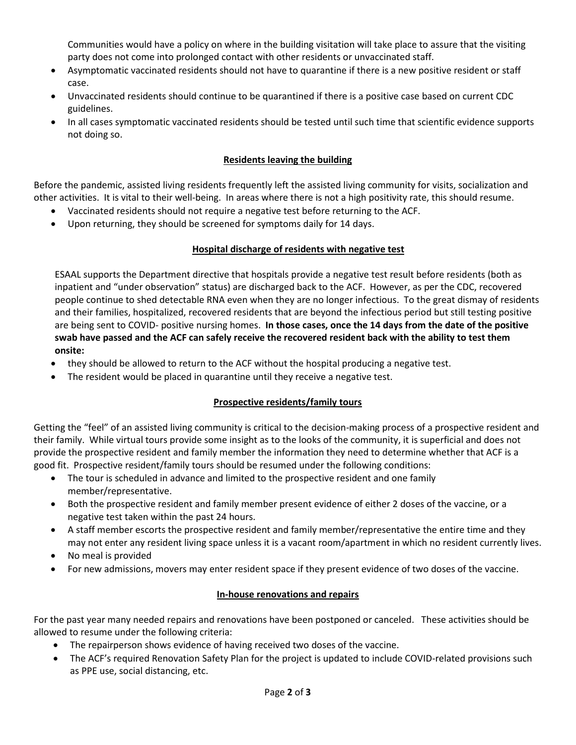Communities would have a policy on where in the building visitation will take place to assure that the visiting party does not come into prolonged contact with other residents or unvaccinated staff.

- Asymptomatic vaccinated residents should not have to quarantine if there is a new positive resident or staff case.
- Unvaccinated residents should continue to be quarantined if there is a positive case based on current CDC guidelines.
- In all cases symptomatic vaccinated residents should be tested until such time that scientific evidence supports not doing so.

### **Residents leaving the building**

Before the pandemic, assisted living residents frequently left the assisted living community for visits, socialization and other activities. It is vital to their well-being. In areas where there is not a high positivity rate, this should resume.

- Vaccinated residents should not require a negative test before returning to the ACF.
- Upon returning, they should be screened for symptoms daily for 14 days.

### **Hospital discharge of residents with negative test**

ESAAL supports the Department directive that hospitals provide a negative test result before residents (both as inpatient and "under observation" status) are discharged back to the ACF. However, as per the CDC, recovered people continue to shed detectable RNA even when they are no longer infectious. To the great dismay of residents and their families, hospitalized, recovered residents that are beyond the infectious period but still testing positive are being sent to COVID- positive nursing homes. **In those cases, once the 14 days from the date of the positive swab have passed and the ACF can safely receive the recovered resident back with the ability to test them onsite:** 

- they should be allowed to return to the ACF without the hospital producing a negative test.
- The resident would be placed in quarantine until they receive a negative test.

# **Prospective residents/family tours**

Getting the "feel" of an assisted living community is critical to the decision-making process of a prospective resident and their family. While virtual tours provide some insight as to the looks of the community, it is superficial and does not provide the prospective resident and family member the information they need to determine whether that ACF is a good fit. Prospective resident/family tours should be resumed under the following conditions:

- The tour is scheduled in advance and limited to the prospective resident and one family member/representative.
- Both the prospective resident and family member present evidence of either 2 doses of the vaccine, or a negative test taken within the past 24 hours.
- A staff member escorts the prospective resident and family member/representative the entire time and they may not enter any resident living space unless it is a vacant room/apartment in which no resident currently lives.
- No meal is provided
- For new admissions, movers may enter resident space if they present evidence of two doses of the vaccine.

# **In-house renovations and repairs**

For the past year many needed repairs and renovations have been postponed or canceled. These activities should be allowed to resume under the following criteria:

- The repairperson shows evidence of having received two doses of the vaccine.
- The ACF's required Renovation Safety Plan for the project is updated to include COVID-related provisions such as PPE use, social distancing, etc.